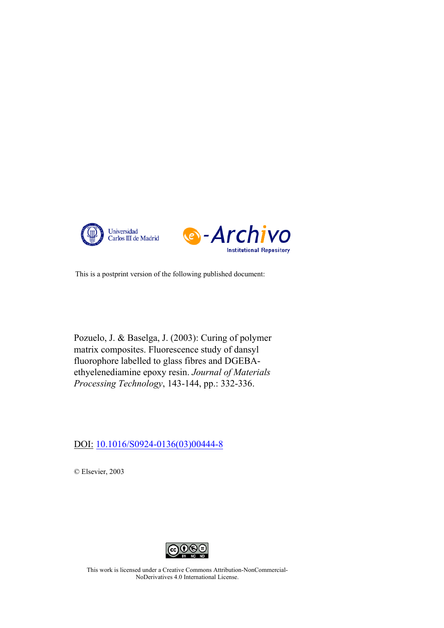



This is a postprint version of the following published document:

Pozuelo, J. & Baselga, J. (2003): Curing of polymer matrix composites. Fluorescence study of dansyl fluorophore labelled to glass fibres and DGEBAethyelenediamine epoxy resin. *Journal of Materials Processing Technology*, 143-144, pp.: 332-336.

DOI: [10.1016/S0924-0136\(03\)00444-8](http://doi.org/10.1016/S0924-0136(03)00444-8)

© Elsevier, 2003



This work is licensed under a Creative Commons Attribution-NonCommercial-NoDerivatives 4.0 International License.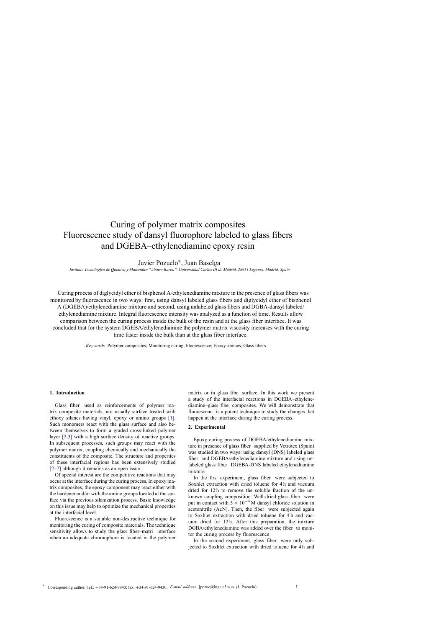# Curing of polymer matrix composites Fluorescence study of dansyl fluorophore labeled to glass fibers and DGEBA–ethylenediamine epoxy resin

Javier Pozuelo∗ , Juan Baselga

Instituto Tecnológico de Quimica y Materiales "Alonso Barba", Universidad Carlos III de Madrid, 28911 Leganés, Madrid, Spain

Curing process of diglycidyl ether of bisphenol A/ethylenediamine mixture in the presence of glass fibers was monitored by fluorescence in two ways: first, using dansyl labeled glass fibers and diglycidyl ether of bisphenol A (DGEBA)/ethylenediamine mixture and second, using unlabeled glass fibers and DGBA-dansyl labeled/ ethylenediamine mixture. Integral fluorescence intensity was analyzed as a function of time. Results allow comparison between the curing process inside the bulk of the resin and at the glass fiber interface. It was concluded that for the system DGEBA/ethylenediamine the polymer matrix viscosity increases with the curing time faster inside the bulk than at the glass fiber interface.

*Keywords* Polymer composites; Monitoring curing; Fluorescence; Epoxy-amines; Glass fibers

### **1. Introduction**

Glass fiber used as reinforcements of polymer matrix composite materials, are usually surface treated with ethoxy silanes having vinyl, epoxy or amino groups [1]. Such monomers react with the glass surface and also between themselves to form a graded cross-linked pol[ymer](#page-5-0) layer [2,3] with a high surface density of reactive groups. In subsequent processes, such groups may react with the poly[mer](#page-5-0) [ma](#page-5-0)trix, coupling chemically and mechanically the constituents of the composite. The structure and properties of these interfacial regions has been extensively studied [2–7] although it remains as an open issue.

Of special interest are the competitive reactions that may [occur](#page-5-0) [a](#page-5-0)t the interface during the curing process. In epoxy matrix composites, the epoxy component may react either with the hardener and/or with the amino groups located at the surface via the previous silanization process. Basic knowledge on this issue may help to optimize the mechanical properties at the interfacial level.

Fluorescence is a suitable non-destructive technique for monitoring the curing of composite materials. The technique sensitivity allows to study the glass fiber–matri interface when an adequate chromophore is located in the polymer matrix or in glass fibe surface. In this work we present a study of the interfacial reactions in DGEBA–ethylenediamine–glass fibe composites. We will demonstrate that fluorescenc is a potent technique to study the changes that happen at the interface during the curing process.

## **2. Experimental**

Epoxy curing process of DGEBA/ethylenediamine mixture in presence of glass fiber supplied by Vetrotex (Spain) was studied in two ways: using dansyl (DNS) labeled glass fiber and DGEBA/ethylenediamine mixture and using unlabeled glass fiber DGEBA-DNS labeled ethylenediamine mixture.

In the firs experiment, glass fiber were subjected to Soxhlet extraction with dried toluene for 4 h and vacuum dried for 12 h to remove the soluble fraction of the unknown coupling composition. Well-dried glass fiber were put in contact with  $5 \times 10^{-4}$  M dansyl chloride solution in acetonitrile (AcN). Then, the fiber were subjected again to Soxhlet extraction with dried toluene for 4 h and vacuum dried for 12 h. After this preparation, the mixture DGBA/ethylenediamine was added over the fiber to monitor the curing process by fluorescence

In the second experiment, glass fiber were only subjected to Soxhlet extraction with dried toluene for 4 h and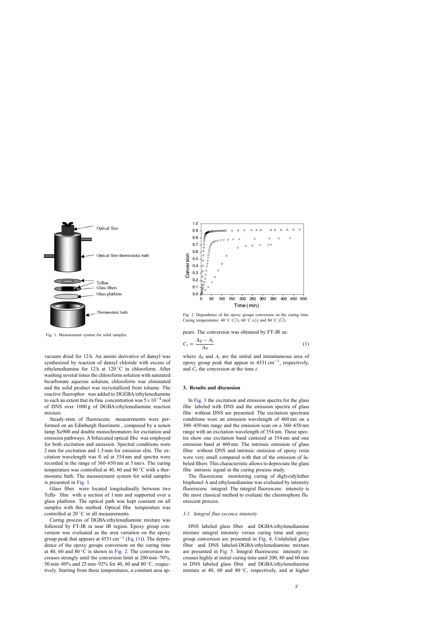

Fig. 1. Measurement system for solid samples.

vacuum dried for 12 h. An amino derivative of dansyl was synthesized by reaction of dansyl chloride with excess of ethylenediamine for 12 h at  $120\degree$ C in chloroform. After washing several times the chloroform solution with saturated bicarbonate aqueous solution, chloroform was eliminated and the solid product was recrystallized from toluene. The reactive fluorophor was added to DGEBA/ethylenediamine to such an extent that its fina concentration was  $5 \times 10^{-4}$  mol of DNS over 1000 g of DGBA/ethylenediamine reaction mixture.

Steady-state of fluorescenc measurements were performed on an Edinburgh fluorimete , composed by a xenon lamp Xe900 and double monochromators for excitation and emission pathways. A bifurcated optical fibe was employed for both excitation and emission. Spectral conditions were 2 mm for excitation and 1.5 mm for emission slits. The excitation wavelength was fi ed at 354 nm and spectra were recorded in the range of 360–650 nm at 5 nm/s. The curing temperature was controlled at 40, 60 and 80 $°C$  with a thermostatic bath. The measurement system for solid samples is presented in Fig. 1.

Glass fiber were located longitudinally between two Teflo film with a section of 1 mm and supported over a glass platform. The optical path was kept constant on all samples with this method. Optical fibe temperature was controlled at  $20^{\circ}$ C in all measurements.

Curing process of DGBA/ethylenediamine mixture was followed by FT-IR in near IR region. Epoxy group conversion was evaluated as the area variation on the epoxy group peak that appears at 4531 cm<sup>-1</sup> (Eq. (1)). The dependence of the epoxy groups conversion on the curing time at 40, 60 and  $80^{\circ}$ C is shown in Fig. 2. The conversion increases strongly until the conversion limit at 200 min–70%, 50 min–80% and 25 min–92% for 40, 60 and 80 ◦C, respectively. Starting from these temperatures, a constant area ap-



Fig. 2. Dependence of the epoxy groups conversion on the curing time. Curing temperatures:  $40^{\circ}$ C (○),  $60^{\circ}$ C (△) and  $80^{\circ}$ C (□).

pears. The conversion was obtained by FT-IR as:

$$
C_t = \frac{A_0 - A_t}{A_0} \tag{1}
$$

where  $A_0$  and  $A_t$  are the initial and instantaneous area of epoxy group peak that appear to  $4531 \text{ cm}^{-1}$ , respectively, and  $C_t$  the conversion at the time  $t$ .

## **3. Results and discussion**

In [Fig. 3](#page-3-0) the excitation and emission spectra for the glass fibe labeled with DNS and the emission spectra of glass fibe without DNS are presented. The excitation spectrum conditions were an emission wavelength of 460 nm on a 300–450 nm range and the emission scan on a 360–650 nm range with an excitation wavelength of 354 nm. These spectra show one excitation band centered at 354 nm and one emission band at 460 nm. The intrinsic emission of glass fiber without DNS and intrinsic emission of epoxy resin were very small compared with that of the emission of labeled fibers This characteristic allows to depreciate the glass fibe intrinsic signal in the curing process study.

The fluorescenc monitoring curing of diglycidylether bisphenol A and ethylenediamine was evaluated by intensity fluorescenc integral. The integral fluorescenc intensity is the most classical method to evaluate the chromophore flu orescent process.

#### *3.1. Integral fluo escence intensity*

DNS labeled glass fiber and DGBA/ethylenediamine mixture integral intensity versus curing time and epoxy group conversion are presented in [Fig. 4.](#page-3-0) Unlabeled glass fiber and DNS labeled-DGBA/ethylenediamine mixture are presented in [Fig. 5.](#page-4-0) Integral fluorescenc intensity increases highly at initial curing time until 200, 80 and 60 min in DNS labeled glass fiber and DGBA/ethylenediamine mixture at 40, 60 and  $80^{\circ}$ C, respectively, and at higher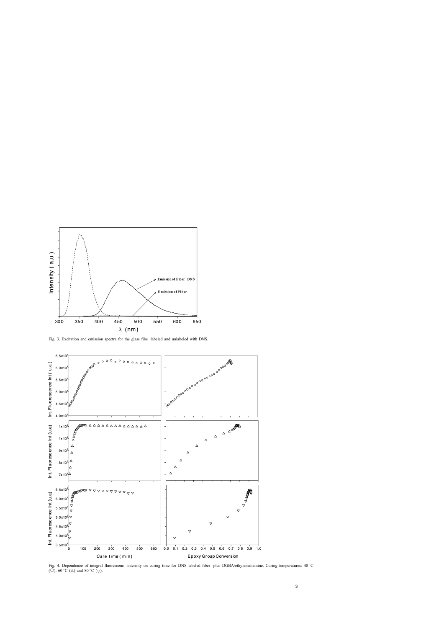<span id="page-3-0"></span>

Fig. 3. Excitation and emission spectra for the glass fibe labeled and unlabeled with DNS.



Fig. 4. Dependence of integral fluorescenc intensity on curing time for DNS labeled fiber plus DGBA/ethylenediamine. Curing temperatures: 40 ◦C (O),  $60^{\circ}$ C ( $\triangle$ ) and  $80^{\circ}$ C ( $\triangledown$ ).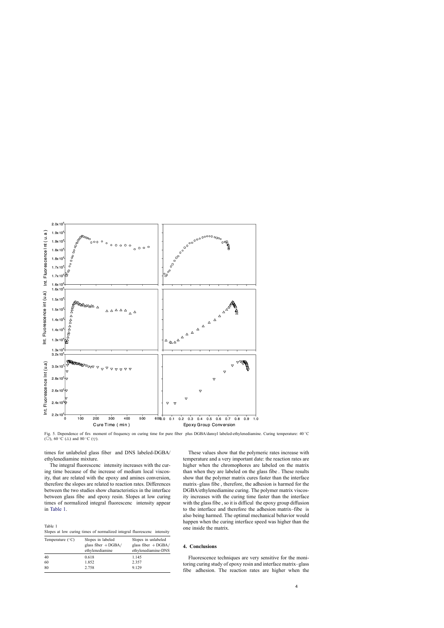<span id="page-4-0"></span>

Fig. 5. Dependence of firs moment of frequency on curing time for pure fiber plus DGBA/dansyl labeled-ethylenediamine. Curing temperature: 40 ℃ ( $\circ$ ), 60 °C ( $\triangle$ ) and 80 °C ( $\triangledown$ ).

times for unlabeled glass fiber and DNS labeled-DGBA/ ethylenediamine mixture.

The integral fluorescenc intensity increases with the curing time because of the increase of medium local viscosity, that are related with the epoxy and amines conversion, therefore the slopes are related to reaction rates. Differences between the two studies show characteristics in the interface between glass fibe and epoxy resin. Slopes at low curing times of normalized integral fluorescenc intensity appear in Table 1.

Table 1 Slopes at low curing times of normalized integral fluorescenc intensity

| Temperature $(^{\circ}C)$ | Slopes in labeled<br>glass fiber $+$ DGBA/<br>ethylenediamine | Slopes in unlabeled<br>glass fiber $+$ DGBA/<br>ethylenediamine-DNS |
|---------------------------|---------------------------------------------------------------|---------------------------------------------------------------------|
| 40                        | 0.618                                                         | 1.145                                                               |
| 60                        | 1.852                                                         | 2.357                                                               |
| 80                        | 2.758                                                         | 9.129                                                               |

These values show that the polymeric rates increase with temperature and a very important date: the reaction rates are higher when the chromophores are labeled on the matrix than when they are labeled on the glass fibe . These results show that the polymer matrix cures faster than the interface matrix–glass fibe , therefore, the adhesion is harmed for the DGBA/ethylenediamine curing. The polymer matrix viscosity increases with the curing time faster than the interface with the glass fibe , so it is difficul the epoxy group diffusion to the interface and therefore the adhesion matrix–fibe is also being harmed. The optimal mechanical behavior would happen when the curing interface speed was higher than the one inside the matrix.

## **4. Conclusions**

Fluorescence techniques are very sensitive for the monitoring curing study of epoxy resin and interface matrix–glass fibe adhesion. The reaction rates are higher when the